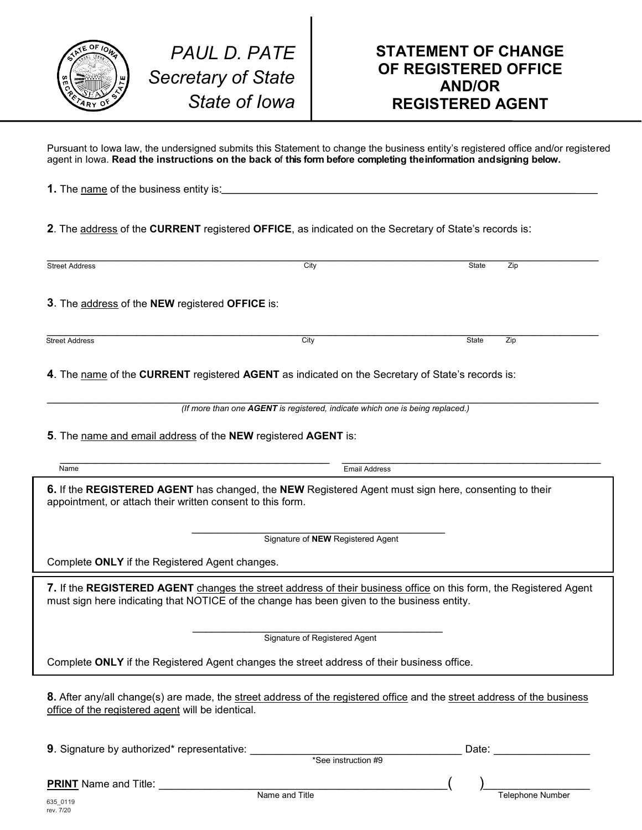

Pursuant to Iowa law, the undersigned submits this Statement to change the business entity's registered office and/or registered agent in Iowa. **Read the instructions on the back o**f **this form befo**r**e completing theinformation andsigning below.**

| <b>1.</b> The name of the business entity is: |  |
|-----------------------------------------------|--|
|                                               |  |

**2**. The address of the **CURRENT** registered **OFFICE**, as indicated on the Secretary of State's records is:

| <b>Street Address</b>                                                                                                                                                                                           | City                          | <b>State</b> | Zip |  |  |
|-----------------------------------------------------------------------------------------------------------------------------------------------------------------------------------------------------------------|-------------------------------|--------------|-----|--|--|
| 3. The address of the NEW registered OFFICE is:                                                                                                                                                                 |                               |              |     |  |  |
| <b>Street Address</b>                                                                                                                                                                                           | City                          | State        | Zip |  |  |
| 4. The name of the CURRENT registered AGENT as indicated on the Secretary of State's records is:                                                                                                                |                               |              |     |  |  |
| (If more than one AGENT is registered, indicate which one is being replaced.)                                                                                                                                   |                               |              |     |  |  |
| 5. The name and email address of the NEW registered AGENT is:                                                                                                                                                   |                               |              |     |  |  |
| Name                                                                                                                                                                                                            | <b>Email Address</b>          |              |     |  |  |
| 6. If the REGISTERED AGENT has changed, the NEW Registered Agent must sign here, consenting to their<br>appointment, or attach their written consent to this form.<br>Signature of <b>NEW</b> Registered Agent  |                               |              |     |  |  |
|                                                                                                                                                                                                                 |                               |              |     |  |  |
| Complete ONLY if the Registered Agent changes.                                                                                                                                                                  |                               |              |     |  |  |
| 7. If the REGISTERED AGENT changes the street address of their business office on this form, the Registered Agent<br>must sign here indicating that NOTICE of the change has been given to the business entity. |                               |              |     |  |  |
|                                                                                                                                                                                                                 | Signature of Registered Agent |              |     |  |  |
| Complete ONLY if the Registered Agent changes the street address of their business office.                                                                                                                      |                               |              |     |  |  |
| 8. After any/all change(s) are made, the street address of the registered office and the street address of the business<br>office of the registered agent will be identical.                                    |                               |              |     |  |  |

**9**. Signature by authorized\* representative: \_\_\_\_\_\_\_\_\_\_\_\_\_\_\_\_\_\_\_\_\_\_\_\_\_\_\_\_\_\_\_\_\_\_\_ Date:

\*See instruction #9

**PRINT** Name and Title: \_\_\_\_\_\_\_\_\_\_\_\_\_\_\_\_\_\_\_\_\_\_\_\_\_\_\_\_\_\_\_\_\_\_\_\_\_\_\_\_\_\_\_\_\_( )\_\_\_\_\_\_\_\_\_\_\_\_\_\_\_\_\_\_ Name and Title Telephone Number